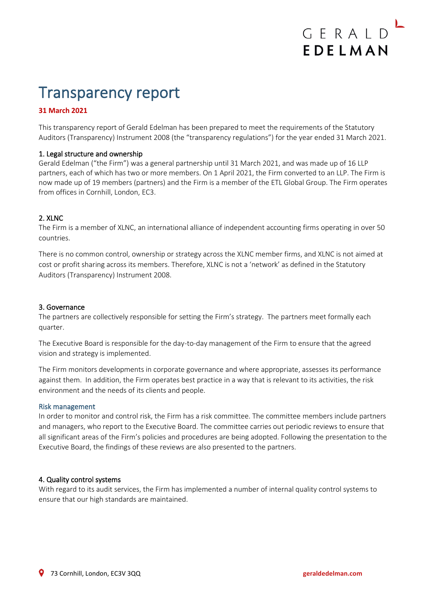# Transparency report

## **31 March 2021**

This transparency report of Gerald Edelman has been prepared to meet the requirements of the Statutory Auditors (Transparency) Instrument 2008 (the "transparency regulations") for the year ended 31 March 2021.

## 1. Legal structure and ownership

Gerald Edelman ("the Firm") was a general partnership until 31 March 2021, and was made up of 16 LLP partners, each of which has two or more members. On 1 April 2021, the Firm converted to an LLP. The Firm is now made up of 19 members (partners) and the Firm is a member of the ETL Global Group. The Firm operates from offices in Cornhill, London, EC3.

## 2. XLNC

The Firm is a member of XLNC, an international alliance of independent accounting firms operating in over 50 countries.

There is no common control, ownership or strategy across the XLNC member firms, and XLNC is not aimed at cost or profit sharing across its members. Therefore, XLNC is not a 'network' as defined in the Statutory Auditors (Transparency) Instrument 2008.

## 3. Governance

The partners are collectively responsible for setting the Firm's strategy. The partners meet formally each quarter.

The Executive Board is responsible for the day-to-day management of the Firm to ensure that the agreed vision and strategy is implemented.

The Firm monitors developments in corporate governance and where appropriate, assesses its performance against them. In addition, the Firm operates best practice in a way that is relevant to its activities, the risk environment and the needs of its clients and people.

#### Risk management

In order to monitor and control risk, the Firm has a risk committee. The committee members include partners and managers, who report to the Executive Board. The committee carries out periodic reviews to ensure that all significant areas of the Firm's policies and procedures are being adopted. Following the presentation to the Executive Board, the findings of these reviews are also presented to the partners.

#### 4. Quality control systems

With regard to its audit services, the Firm has implemented a number of internal quality control systems to ensure that our high standards are maintained.

GERALD

EDELMAN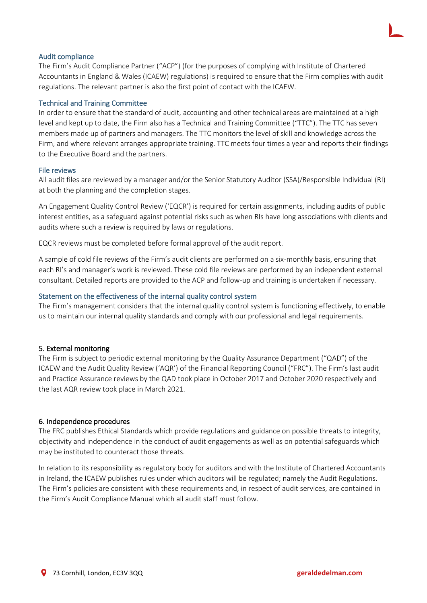## Audit compliance

The Firm's Audit Compliance Partner ("ACP") (for the purposes of complying with Institute of Chartered Accountants in England & Wales (ICAEW) regulations) is required to ensure that the Firm complies with audit regulations. The relevant partner is also the first point of contact with the ICAEW.

#### Technical and Training Committee

In order to ensure that the standard of audit, accounting and other technical areas are maintained at a high level and kept up to date, the Firm also has a Technical and Training Committee ("TTC"). The TTC has seven members made up of partners and managers. The TTC monitors the level of skill and knowledge across the Firm, and where relevant arranges appropriate training. TTC meets four times a year and reports their findings to the Executive Board and the partners.

## File reviews

All audit files are reviewed by a manager and/or the Senior Statutory Auditor (SSA)/Responsible Individual (RI) at both the planning and the completion stages.

An Engagement Quality Control Review ('EQCR') is required for certain assignments, including audits of public interest entities, as a safeguard against potential risks such as when RIs have long associations with clients and audits where such a review is required by laws or regulations.

EQCR reviews must be completed before formal approval of the audit report.

A sample of cold file reviews of the Firm's audit clients are performed on a six-monthly basis, ensuring that each RI's and manager's work is reviewed. These cold file reviews are performed by an independent external consultant. Detailed reports are provided to the ACP and follow-up and training is undertaken if necessary.

#### Statement on the effectiveness of the internal quality control system

The Firm's management considers that the internal quality control system is functioning effectively, to enable us to maintain our internal quality standards and comply with our professional and legal requirements.

## 5. External monitoring

The Firm is subject to periodic external monitoring by the Quality Assurance Department ("QAD") of the ICAEW and the Audit Quality Review ('AQR') of the Financial Reporting Council ("FRC"). The Firm's last audit and Practice Assurance reviews by the QAD took place in October 2017 and October 2020 respectively and the last AQR review took place in March 2021.

#### 6. Independence procedures

The FRC publishes Ethical Standards which provide regulations and guidance on possible threats to integrity, objectivity and independence in the conduct of audit engagements as well as on potential safeguards which may be instituted to counteract those threats.

In relation to its responsibility as regulatory body for auditors and with the Institute of Chartered Accountants in Ireland, the ICAEW publishes rules under which auditors will be regulated; namely the Audit Regulations. The Firm's policies are consistent with these requirements and, in respect of audit services, are contained in the Firm's Audit Compliance Manual which all audit staff must follow.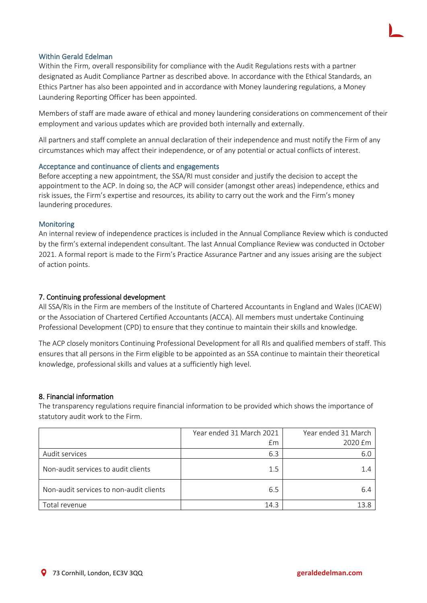## Within Gerald Edelman

Within the Firm, overall responsibility for compliance with the Audit Regulations rests with a partner designated as Audit Compliance Partner as described above. In accordance with the Ethical Standards, an Ethics Partner has also been appointed and in accordance with Money laundering regulations, a Money Laundering Reporting Officer has been appointed.

Members of staff are made aware of ethical and money laundering considerations on commencement of their employment and various updates which are provided both internally and externally.

All partners and staff complete an annual declaration of their independence and must notify the Firm of any circumstances which may affect their independence, or of any potential or actual conflicts of interest.

## Acceptance and continuance of clients and engagements

Before accepting a new appointment, the SSA/RI must consider and justify the decision to accept the appointment to the ACP. In doing so, the ACP will consider (amongst other areas) independence, ethics and risk issues, the Firm's expertise and resources, its ability to carry out the work and the Firm's money laundering procedures.

## **Monitoring**

An internal review of independence practices is included in the Annual Compliance Review which is conducted by the firm's external independent consultant. The last Annual Compliance Review was conducted in October 2021. A formal report is made to the Firm's Practice Assurance Partner and any issues arising are the subject of action points.

## 7. Continuing professional development

All SSA/RIs in the Firm are members of the Institute of Chartered Accountants in England and Wales (ICAEW) or the Association of Chartered Certified Accountants (ACCA). All members must undertake Continuing Professional Development (CPD) to ensure that they continue to maintain their skills and knowledge.

The ACP closely monitors Continuing Professional Development for all RIs and qualified members of staff. This ensures that all persons in the Firm eligible to be appointed as an SSA continue to maintain their theoretical knowledge, professional skills and values at a sufficiently high level.

## 8. Financial information

The transparency regulations require financial information to be provided which shows the importance of statutory audit work to the Firm.

|                                         | Year ended 31 March 2021 | Year ended 31 March |
|-----------------------------------------|--------------------------|---------------------|
|                                         | £m                       | 2020 £m             |
| Audit services                          | 6.3                      | 6.C                 |
| Non-audit services to audit clients     | 1.5                      |                     |
| Non-audit services to non-audit clients | 6.5                      | 6.4                 |
| Total revenue                           | 14.3                     | 13 8                |